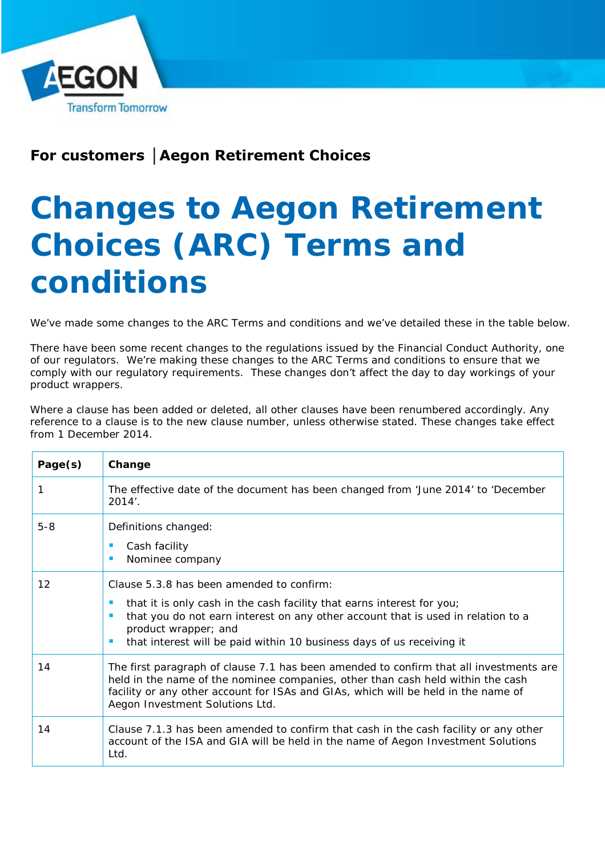

## **For customers │Aegon Retirement Choices**

## **Changes to Aegon Retirement Choices (ARC) Terms and conditions**

We've made some changes to the *ARC Terms and conditions* and we've detailed these in the table below.

There have been some recent changes to the regulations issued by the Financial Conduct Authority, one of our regulators. We're making these changes to the *ARC Terms and conditions to* ensure that we comply with our regulatory requirements. These changes don't affect the day to day workings of your product wrappers.

Where a clause has been added or deleted, all other clauses have been renumbered accordingly. Any reference to a clause is to the new clause number, unless otherwise stated. These changes take effect from 1 December 2014.

| Page(s) | Change                                                                                                                                                                                                                                                                                                   |
|---------|----------------------------------------------------------------------------------------------------------------------------------------------------------------------------------------------------------------------------------------------------------------------------------------------------------|
|         | The effective date of the document has been changed from 'June 2014' to 'December<br>$2014'$ .                                                                                                                                                                                                           |
| $5 - 8$ | Definitions changed:<br>Cash facility<br>$\blacksquare$<br>Nominee company                                                                                                                                                                                                                               |
| 12      | Clause 5.3.8 has been amended to confirm:<br>that it is only cash in the cash facility that earns interest for you;<br>that you do not earn interest on any other account that is used in relation to a<br>product wrapper; and<br>that interest will be paid within 10 business days of us receiving it |
| 14      | The first paragraph of clause 7.1 has been amended to confirm that all investments are<br>held in the name of the nominee companies, other than cash held within the cash<br>facility or any other account for ISAs and GIAs, which will be held in the name of<br>Aegon Investment Solutions Ltd.       |
| 14      | Clause 7.1.3 has been amended to confirm that cash in the cash facility or any other<br>account of the ISA and GIA will be held in the name of Aegon Investment Solutions<br>Ltd.                                                                                                                        |